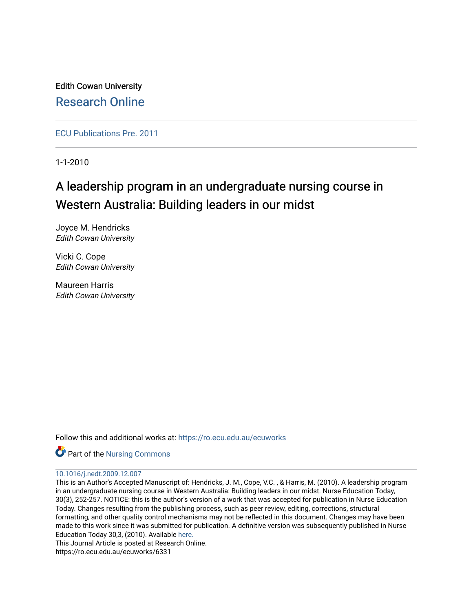Edith Cowan University [Research Online](https://ro.ecu.edu.au/) 

[ECU Publications Pre. 2011](https://ro.ecu.edu.au/ecuworks)

1-1-2010

# A leadership program in an undergraduate nursing course in Western Australia: Building leaders in our midst

Joyce M. Hendricks Edith Cowan University

Vicki C. Cope Edith Cowan University

Maureen Harris Edith Cowan University

Follow this and additional works at: [https://ro.ecu.edu.au/ecuworks](https://ro.ecu.edu.au/ecuworks?utm_source=ro.ecu.edu.au%2Fecuworks%2F6331&utm_medium=PDF&utm_campaign=PDFCoverPages) 



### [10.1016/j.nedt.2009.12.007](http://dx.doi.org/10.1016/j.nedt.2009.12.007)

This is an Author's Accepted Manuscript of: Hendricks, J. M., Cope, V.C. , & Harris, M. (2010). A leadership program in an undergraduate nursing course in Western Australia: Building leaders in our midst. Nurse Education Today, 30(3), 252-257. NOTICE: this is the author's version of a work that was accepted for publication in Nurse Education Today. Changes resulting from the publishing process, such as peer review, editing, corrections, structural formatting, and other quality control mechanisms may not be reflected in this document. Changes may have been made to this work since it was submitted for publication. A definitive version was subsequently published in Nurse Education Today 30,3, (2010). Available here.

This Journal Article is posted at Research Online.

https://ro.ecu.edu.au/ecuworks/6331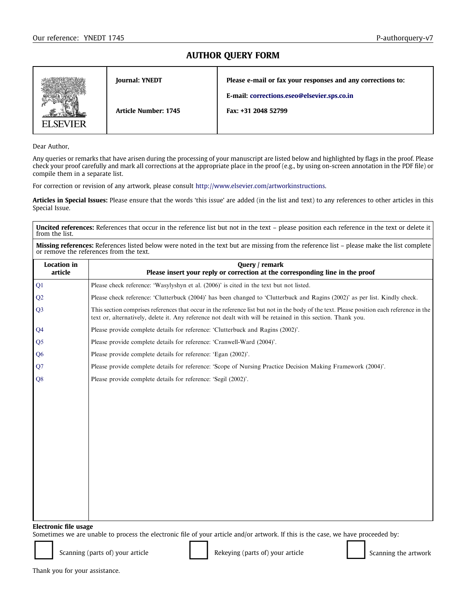# AUTHOR QUERY FORM

<span id="page-1-0"></span>

|           | Journal: YNEDT              | Please e-mail or fax your responses and any corrections to:        |  |  |  |
|-----------|-----------------------------|--------------------------------------------------------------------|--|--|--|
|           | <b>Article Number: 1745</b> | E-mail: corrections.eseo@elsevier.sps.co.in<br>Fax: +31 2048 52799 |  |  |  |
| EL SEVIER |                             |                                                                    |  |  |  |

Dear Author,

Any queries or remarks that have arisen during the processing of your manuscript are listed below and highlighted by flags in the proof. Please check your proof carefully and mark all corrections at the appropriate place in the proof (e.g., by using on-screen annotation in the PDF file) or compile them in a separate list.

For correction or revision of any artwork, please consult http://www.elsevier.com/artworkinstructions.

Articles in Special Issues: Please ensure that the words 'this issue' are added (in the list and text) to any references to other articles in this Special Issue.

Uncited references: References that occur in the reference list but not in the text – please position each reference in the text or delete it from the list.

Missing references: References listed below were noted in the text but are missing from the reference list – please make the list complete or remove the references from the text.

| <b>Location</b> in<br>article | Query / remark<br>Please insert your reply or correction at the corresponding line in the proof                                                                                                                                                           |  |  |  |  |
|-------------------------------|-----------------------------------------------------------------------------------------------------------------------------------------------------------------------------------------------------------------------------------------------------------|--|--|--|--|
| Q1                            | Please check reference: 'Wasylyshyn et al. (2006)' is cited in the text but not listed.                                                                                                                                                                   |  |  |  |  |
| Q <sub>2</sub>                | Please check reference: 'Clutterbuck (2004)' has been changed to 'Clutterbuck and Ragins (2002)' as per list. Kindly check.                                                                                                                               |  |  |  |  |
| Q <sub>3</sub>                | This section comprises references that occur in the reference list but not in the body of the text. Please position each reference in the<br>text or, alternatively, delete it. Any reference not dealt with will be retained in this section. Thank you, |  |  |  |  |
| Q <sub>4</sub>                | Please provide complete details for reference: 'Clutterbuck and Ragins (2002)'.                                                                                                                                                                           |  |  |  |  |
| Q <sub>5</sub>                | Please provide complete details for reference: 'Cranwell-Ward (2004)'.                                                                                                                                                                                    |  |  |  |  |
| Q <sub>6</sub>                | Please provide complete details for reference: 'Egan (2002)'.                                                                                                                                                                                             |  |  |  |  |
| Q7                            | Please provide complete details for reference: 'Scope of Nursing Practice Decision Making Framework (2004)'.                                                                                                                                              |  |  |  |  |
| Q8                            | Please provide complete details for reference: 'Segil (2002)'.                                                                                                                                                                                            |  |  |  |  |
|                               |                                                                                                                                                                                                                                                           |  |  |  |  |
| <b>Electronic file usage</b>  |                                                                                                                                                                                                                                                           |  |  |  |  |

Sometimes we are unable to process the electronic file of your article and/or artwork. If this is the case, we have proceeded by:<br>Scanning (parts of) your article scanning the artwork Rekeying (parts of) your article Scann



Thank you for your assistance.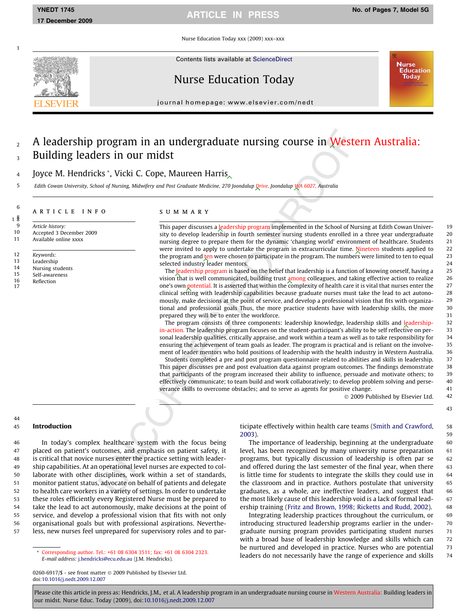ARTICLE IN PRESS

Nurse Education Today xxx (2009) xxx–xxx

Contents lists available at [ScienceDirect](http://www.sciencedirect.com/science/journal/02606917)



Nurse Education Today

journal homepage: [www.elsevier.com/nedt](http://www.elsevier.com/nedt)

# 12 A leadership program in an undergraduate nursing course in Western Australia:<br>
A leadership program in an undergraduate nursing course in Western Australia: Building leaders in our midst

# Joyce M. Hendricks \*, Vicki C. Cope, Maureen Harris

5 Edith Cowan University, School of Nursing, Midwifery and Post Graduate Medicine, 270 Joondalup Drive, Joondalup WA 6027, Australia

#### article info

9 Article history:<br>10 Accepted 3 De Accepted 3 December 2009

11 Available online xxxx

- 12 Keywords:<br>13 Leadership
- 13 Leadership<br>14 Nursing sti
- 14 Nursing students<br>15 Self-awareness
- 15 Self-awareness
- Reflection 17

6<br>8

6

1 8

#### SUMMARY

This paper discusses a leadership program implemented in the School of Nursing at Edith Cowan Univer- 19 sity to develop leadership in fourth semester nursing students enrolled in a three year undergraduate 20 nursing degree to prepare them for the dynamic 'changing world' environment of healthcare. Students 21 were invited to apply to undertake the program in extracurricular time. Nineteen students applied to 22 the program and ten were chosen to participate in the program. The numbers were limited to ten to equal 23<br>24<br>24 selected industry leader mentors.

**EXECUTE THE CONSULTER CONSULTER CONSULTS (SECT)**<br> **EXECTS IN OUT midds that**<br>  $\mathbf{K}^*$ , Vicki C. Cope, Maureen Harris,<br>
Section of Management Harris and the School of Nussing Maleviery and two conducts Maleviery and tw The leadership program is based on the belief that leadership is a function of knowing oneself, having a 25 vision that is well communicated, building trust among colleagues, and taking effective action to realize 26 one's own potential. It is asserted that within the complexity of health care it is vital that nurses enter the 27 clinical setting with leadership capabilities because graduate nurses must take the lead to act autono- 28 mously, make decisions at the point of service, and develop a professional vision that fits with organiza- 29 tional and professional goals Thus, the more practice students have with leadership skills, the more 30 prepared they will be to enter the workforce. 31

The program consists of three components: leadership knowledge, leadership skills and leadership-<br>32 in-action. The leadership program focuses on the student-participant's ability to be self reflective on per- 33 sonal leadership qualities, critically appraise, and work within a team as well as to take responsibility for 34 ensuring the achievement of team goals as leader. The program is practical and is reliant on the involve- 35 ment of leader mentors who hold positions of leadership with the health industry in Western Australia. 36

Students completed a pre and post program questionnaire related to abilities and skills in leadership. 37 This paper discusses pre and post evaluation data against program outcomes. The findings demonstrate 38 that participants of the program increased their ability to influence, persuade and motivate others; to 39 effectively communicate; to team build and work collaboratively; to develop problem solving and perse- 40 verance skills to overcome obstacles; and to serve as agents for positive change. 41

© 2009 Published by Elsevier Ltd. 42

# 44

## 45 Introduction

 In today's complex healthcare system with the focus being placed on patient's outcomes, and emphasis on patient safety, it is critical that novice nurses enter the practice setting with leader- ship capabilities. At an operational level nurses are expected to col- laborate with other disciplines, work within a set of standards, monitor patient status, advocate on behalf of patients and delegate to health care workers in a variety of settings. In order to undertake these roles efficiently every Registered Nurse must be prepared to take the lead to act autonomously, make decisions at the point of service, and develop a professional vision that fits with not only organisational goals but with professional aspirations. Neverthe-less, new nurses feel unprepared for supervisory roles and to par-

\* Corresponding author. Tel.: +61 08 6304 3511; fax: +61 08 6304 2323.<br> *E-mail address:* j.hendricks@ecu.edu.au (J.M. Hendricks).<br>
0260-6917/\$ - see front matter © 2009 Published by Elsevier Ltd.<br>
doi:10.1016/j.nedt.200 E-mail address: [j.hendricks@ecu.edu.au](mailto:j.hendricks@ecu.edu.au) (J.M. Hendricks).

0260-6917/\$ - see front matter - 2009 Published by Elsevier Ltd.

ticipate effectively within health care teams [\(Smith and Crawford,](#page-7-0) 58 2003). 59

The importance of leadership, beginning at the undergraduate 60 level, has been recognized by many university nurse preparation 61 programs, but typically discussion of leadership is often par se 62 and offered during the last semester of the final year, when there 63 is little time for students to integrate the skills they could use in 64 the classroom and in practice. Authors postulate that university 65 graduates, as a whole, are ineffective leaders, and suggest that 66 the most likely cause of this leadership void is a lack of formal lead- 67 ership training [\(Fritz and Brown, 1998; Ricketts and Rudd, 2002\)](#page-7-0). 68

Integrating leadership practices throughout the curriculum, or 69 introducing structured leadership programs earlier in the under- 70 graduate nursing program provides participating student nurses 71 with a broad base of leadership knowledge and skills which can  $72$ be nurtured and developed in practice. Nurses who are potential 73 leaders do not necessarily have the range of experience and skills 74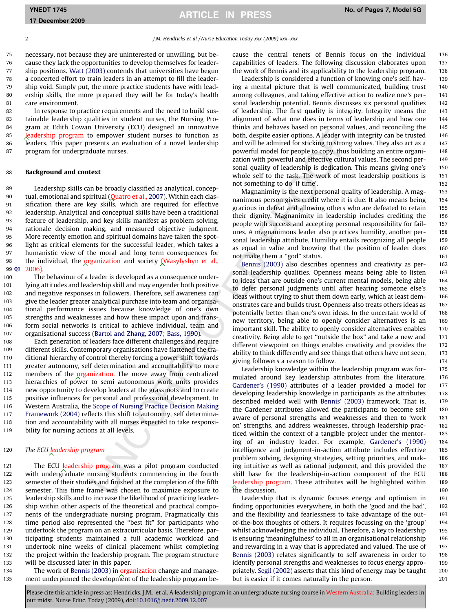<span id="page-3-0"></span>17 December 2009

2 J.M. Hendricks et al. / Nurse Education Today xxx (2009) xxx–xxx

 necessary, not because they are uninterested or unwilling, but be- cause they lack the opportunities to develop themselves for leader- ship positions. [Watt \(2003\)](#page-7-0) contends that universities have begun a concerted effort to train leaders in an attempt to fill the leader- ship void. Simply put, the more practice students have with lead- ership skills, the more prepared they will be for today's health care environment.

 In response to practice requirements and the need to build sus- tainable leadership qualities in student nurses, the Nursing Pro- gram at Edith Cowan University (ECU) designed an innovative 85 leadership program to empower student nurses to function as leaders. This paper presents an evaluation of a novel leadership program for undergraduate nurses.

#### 88 Background and context

 Leadership skills can be broadly classified as analytical, concep-90 tual, emotional and spiritual ([Quatro et al.,](#page-7-0) 2007). Within each clas- sification there are key skills, which are required for effective leadership. Analytical and conceptual skills have been a traditional feature of leadership, and key skills manifest as problem solving, rationale decision making, and measured objective judgment. More recently emotion and spiritual domains have taken the spot- light as critical elements for the successful leader, which takes a humanistic view of the moral and long term consequences for 98 the individual, the  $q$ rganization and society  $\sqrt{($  Wasylyshyn et al.,  $2006$ 99 [Q1](#page-1-0)

 The behaviour of a leader is developed as a consequence under- lying attitudes and leadership skill and may engender both positive and negative responses in followers. Therefore, self awareness can give the leader greater analytical purchase into team and organisa- tional performance issues because knowledge of one's own 105 strengths and weaknesses and how these impact upon and trans- form social networks is critical to achieve individual, team and organisational success (Bartol and Zhang, 2007; Bass, 1990).

 Each generation of leaders face different challenges and require different skills. Contemporary organisations have flattened the tra- ditional hierarchy of control thereby forcing a power shift towards greater autonomy, self determination and accountability to more 112 members of the organization. The move away from centralized hierarchies of power to semi autonomous work units provides new opportunity to develop leaders at the grassroots and to create positive influences for personal and professional development. In Western Australia, the Scope of Nursing Practice Decision Making [Framework \(2004\)](#page-7-0) reflects this shift to autonomy, self determina- tion and accountability with all nurses expected to take responsi-bility for nursing actions at all levels.

#### 120 The ECU leadership program

121 The ECU leadership program was a pilot program conducted 122 with undergraduate nursing students commencing in the fourth semester of their studies and finished at the completion of the fifth semester. This time frame was chosen to maximize exposure to leadership skills and to increase the likelihood of practicing leader-126 ship within other aspects of the theoretical and practical compo- nents of the undergraduate nursing program. Pragmatically this time period also represented the ''best fit" for participants who undertook the program on an extracurricular basis. Therefore, par- ticipating students maintained a full academic workload and undertook nine weeks of clinical placement whilst completing the project within the leadership program. The program structure will be discussed later in this paper.

134 The work of [Bennis \(2003\)](#page-7-0) in organization change and manage-135 ment underpinned the development of the leadership program because the central tenets of Bennis focus on the individual 136 capabilities of leaders. The following discussion elaborates upon 137 the work of Bennis and its applicability to the leadership program. 138

Leadership is considered a function of knowing one's self, hav-<br>139 ing a mental picture that is well communicated, building trust 140 among colleagues, and taking effective action to realize one's per- 141 sonal leadership potential. Bennis discusses six personal qualities 142 of leadership. The first quality is integrity. Integrity means the 143 alignment of what one does in terms of leadership and how one 144 thinks and behaves based on personal values, and reconciling the 145 both, despite easier options. A leader with integrity can be trusted 146 and will be admired for sticking to strong values. They also act as a 147 powerful model for people to copy, thus building an entire organi- 148 zation with powerful and effective cultural values. The second per-<br>149 sonal quality of leadership is dedication. This means giving one's 150 whole self to the task. The work of most leadership positions is 151 not something to do 'if time'. 152

Magnanimity is the next personal quality of leadership. A mag- 153 nanimous person gives credit where it is due. It also means being 154 gracious in defeat and allowing others who are defeated to retain 155 their dignity. Magnanimity in leadership includes crediting the 156 people with success and accepting personal responsibility for fail- 157 ures. A magnanimous leader also practices humility, another per- 158 sonal leadership attribute. Humility entails recognizing all people 159 as equal in value and knowing that the position of leader does 160 not make them a "god" status. 161

[Bennis \(2003\)](#page-7-0) also describes openness and creativity as per- 162 sonal leadership qualities. Openness means being able to listen 163 to ideas that are outside one's current mental models, being able 164 to defer personal judgments until after hearing someone else's 165 ideas without trying to shut them down early, which at least dem-<br>166 onstrates care and builds trust. Openness also treats others ideas as 167 potentially better than one's own ideas. In the uncertain world of 168 new territory, being able to openly consider alternatives is an 169 important skill. The ability to openly consider alternatives enables 170 creativity. Being able to get ''outside the box" and take a new and 171 different viewpoint on things enables creativity and provides the 172 ability to think differently and see things that others have not seen, 173 giving followers a reason to follow. 174

o empower student nurses to function as both despite easier options. A leader when consider a consider the studient system as essents an evaluation of a novel leadership and will be admired for stocking to strong the argum Leadership knowledge within the leadership program was for-<br>175 mulated around key leadership attributes from the literature. 176 [Gardener's \(1990\)](#page-7-0) attributes of a leader provided a model for 177 developing leadership knowledge in participants as the attributes 178 described melded well with [Bennis' \(2003\)](#page-7-0) framework. That is, 179 the Gardener attributes allowed the participants to become self 180 aware of personal strengths and weaknesses and then to 'work 181 on' strengths, and address weaknesses, through leadership prac- 182 ticed within the context of a tangible project under the mentor- 183 ing of an industry leader. For example, [Gardener's \(1990\)](#page-7-0) 184 intelligence and judgment-in-action attribute includes effective 185 problem solving, designing strategies, setting priorities, and mak- 186 ing intuitive as well as rational judgment, and this provided the 187 skill base for the leadership-in-action component of the ECU 188 leadership program. These attributes will be highlighted within 189 the discussion. 190

Leadership that is dynamic focuses energy and optimism in 191 finding opportunities everywhere, in both the 'good and the bad', 192 and the flexibility and fearlessness to take advantage of the out- 193 of-the-box thoughts of others. It requires focussing on the 'group' 194 whilst acknowledging the individual. Therefore, a key to leadership 195 is ensuring 'meaningfulness' to all in an organisational relationship 196 and rewarding in a way that is appreciated and valued. The use of 197 [Bennis \(2003\)](#page-7-0) relates significantly to self awareness in order to 198 identify personal strengths and weaknesses to focus energy appro-<br>199 priately. [Segil \(2002\)](#page-7-0) asserts that this kind of energy may be taught 200 but is easier if it comes naturally in the person. 201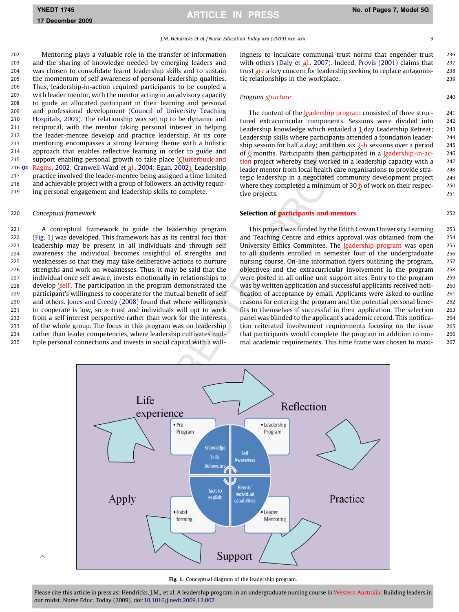ARTICLE IN PRESS

J.M. Hendricks et al. / Nurse Education Today xxx (2009) xxx–xxx

<span id="page-4-0"></span> Mentoring plays a valuable role in the transfer of information and the sharing of knowledge needed by emerging leaders and was chosen to consolidate learnt leadership skills and to sustain the momentum of self awareness of personal leadership qualities. Thus, leadership-in-action required participants to be coupled a with leader mentor, with the mentor acting in an advisory capacity to guide an allocated participant in their learning and personal and professional development [\(Council of University Teaching](#page-7-0) [Hospitals, 2003\)](#page-7-0). The relationship was set up to be dynamic and reciprocal, with the mentor taking personal interest in helping the leader-mentee develop and practice leadership. At its core mentoring encompasses a strong learning theme with a holistic approach that enables reflective learning in order to guide and 215 support enabling personal growth to take place [\(Clutterbuck and](#page-7-0) Ragins, [2002; Cranwell-Ward et](#page-7-0) al., 2004; Egan, 2002). Leadership practice involved the leader-mentee being assigned a time limited and achievable project with a group of followers, an activity requir- ing personal engagement and leadership skills to complete.  $216.02$ 

#### 220 Conceptual framework

 A conceptual framework to guide the leadership program  $222$ (Fig. 1) was developed. This framework has as its central foci that leadership may be present in all individuals and through self awareness the individual becomes insightful of strengths and weaknesses so that they may take deliberative actions to nurture strengths and work on weaknesses. Thus, it may be said that the individual once self aware, invests emotionally in relationships to 228 develop 'self'. The participation in the program demonstrated the participant's willingness to cooperate for the mutual benefit of self and others. [Jones and Creedy \(2008\)](#page-7-0) found that where willingness to cooperate is low, so is trust and individuals will opt to work from a self interest perspective rather than work for the interests of the whole group. The focus in this program was on leadership rather than leader competencies, where leadership cultivates mul-tiple personal connections and invests in social capital with a will-

#### Program structure 240

The content of the leadership program consisted of three struc-<br>241 tured extracurricular components. Sessions were divided into 242 Leadership knowledge which entailed a 1 day Leadership Retreat; 243 Leadership skills where participants attended a foundation leader- 244 ship session for half a day; and then six  $2-h$  sessions over a period 245 of 6 months. Participants then participated in a leadership-in-ac- 246 tion project whereby they worked in a leadership capacity with a 247 leader mentor from local health care organisations to provide stra- 248 tegic leadership in a negotiated community development project 249 where they completed a minimum of 30 h of work on their respec- 250 tive projects. 251

#### Selection of participants and mentors **252**

This project was funded by the Edith Cowan University Learning 253 and Teaching Centre and ethics approval was obtained from the 254 University Ethics Committee. The leadership program was open 255 to all students enrolled in semester four of the undergraduate 256 nursing course. On-line information flyers outlining the program, 257 objectives and the extracurricular involvement in the program 258 were posted in all online unit support sites. Entry to the program 259 was by written application and successful applicants received noti-<br>260 fication of acceptance by email. Applicants were asked to outline 261 reasons for entering the program and the potential personal bene- 262 fits to themselves if successful in their application. The selection 263 panel was blinded to the applicant's academic record. This notifica- 264 tion reiterated involvement requirements focusing on the issue 265 that participants would complete the program in addition to nor- 266 mal academic requirements. This time frame was chosen to maxi- 267



Fig. 1. Conceptual diagram of the leadership program.

Please cite this article in press as: Hendricks, J.M., et al. A leadership program in an undergraduate nursing course in Western Australia: Building leaders in our midst. Nurse Educ. Today (2009), doi:[10.1016/j.nedt.2009.12.007](http://dx.doi.org/10.1016/j.nedt.2009.12.007)

3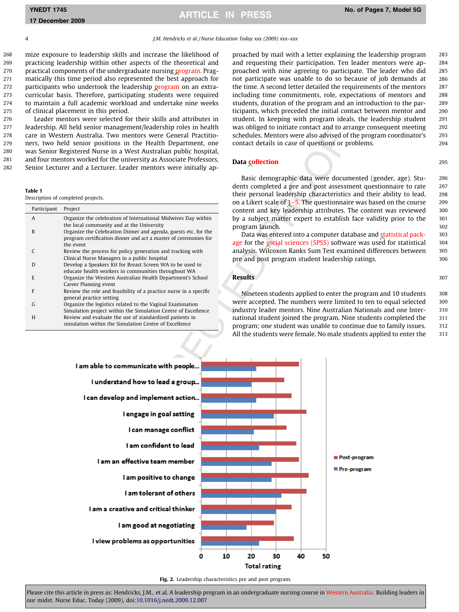<span id="page-5-0"></span>17 December 2009

4 J.M. Hendricks et al. / Nurse Education Today xxx (2009) xxx–xxx

 mize exposure to leadership skills and increase the likelihood of practicing leadership within other aspects of the theoretical and 270 practical components of the undergraduate nursing program. Prag- matically this time period also represented the best approach for 272 participants who undertook the leadership program on an extra- curricular basis. Therefore, participating students were required to maintain a full academic workload and undertake nine weeks of clinical placement in this period.

 Leader mentors were selected for their skills and attributes in leadership. All held senior management/leadership roles in health care in Western Australia. Two mentors were General Practitio- ners, two held senior positions in the Health Department, one was Senior Registered Nurse in a West Australian public hospital, and four mentors worked for the university as Associate Professors, Senior Lecturer and a Lecturer. Leader mentors were initially ap-

#### Table 1

Description of completed projects.

| Participant | Project                                                                                                                                         |
|-------------|-------------------------------------------------------------------------------------------------------------------------------------------------|
| A           | Organize the celebration of International Midwives Day within<br>the local community and at the University                                      |
| B           | Organize the Celebration Dinner and agenda, guests etc. for the<br>program certification dinner and act a master of ceremonies for<br>the event |
| $\epsilon$  | Review the process for policy generation and tracking with<br>Clinical Nurse Managers in a public hospital                                      |
| D           | Develop a Speakers Kit for Breast Screen WA to be used to<br>educate health workers in communities throughout WA                                |
| E           | Organize the Western Australian Health Department's School<br>Career Planning event                                                             |
| F           | Review the role and feasibility of a practice nurse in a specific<br>general practice setting                                                   |
| G           | Organize the logistics related to the Vaginal Examination<br>Simulation project within the Simulation Centre of Excellence                      |
| H           | Review and evaluate the use of standardized patients in<br>simulation within the Simulation Centre of Excellence                                |

proached by mail with a letter explaining the leadership program 283 and requesting their participation. Ten leader mentors were ap- 284 proached with nine agreeing to participate. The leader who did 285 not participate was unable to do so because of job demands at 286 the time. A second letter detailed the requirements of the mentors 287 including time commitments, role, expectations of mentors and 288 students, duration of the program and an introduction to the par- 289 ticipants, which preceded the initial contact between mentor and 290 student. In keeping with program ideals, the leadership student 291 was obliged to initiate contact and to arrange consequent meeting 292 schedules. Mentors were also advised of the program coordinator's 293 contact details in case of questions or problems. 294

#### **Data collection** 295

Basic demographic data were documented (gender, age). Stu- 296 dents completed a pre and post assessment questionnaire to rate 297 their personal leadership characteristics and their ability to lead, 298 on a Likert scale of  $1-5$ . The questionnaire was based on the course 299 content and key leadership attributes. The content was reviewed 300 by a subject matter expert to establish face validity prior to the 301 program launch. 302

Data was entered into a computer database and statistical pack-<br>303 age for the social sciences (SPSS) software was used for statistical 304 analysis. Wilcoxon Ranks Sum Test examined differences between 305 pre and post program student leadership ratings. 306

#### **Results** 307

Nineteen students applied to enter the program and 10 students 308 were accepted. The numbers were limited to ten to equal selected 309 industry leader mentors. Nine Australian Nationals and one Inter- 310

national student joined the program. Nine students completed the 311 program; one student was unable to continue due to family issues. 312 All the students were female. No male students applied to enter the 313



Fig. 2. Leadership characteristics pre and post program.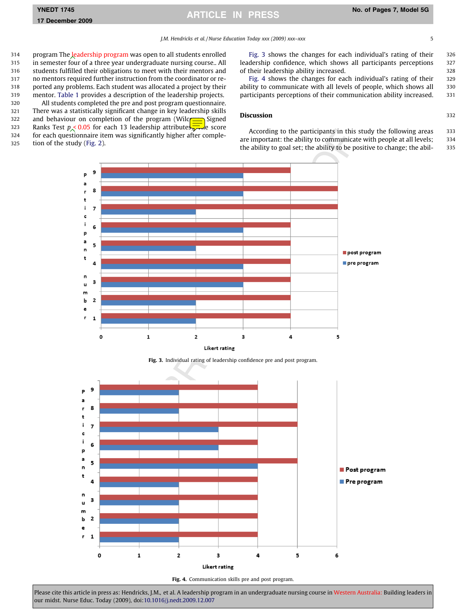# ARTICLE IN PRESS

J.M. Hendricks et al. / Nurse Education Today xxx (2009) xxx–xxx

314 program The leadership program was open to all students enrolled in semester four of a three year undergraduate nursing course.. All students fulfilled their obligations to meet with their mentors and no mentors required further instruction from the coordinator or re- ported any problems. Each student was allocated a project by their mentor. [Table 1](#page-5-0) provides a description of the leadership projects. All students completed the pre and post program questionnaire. There was a statistically significant change in key leadership skills

322 and behaviour on completion of the program (Wilc $\Box$ Signed 323 Ranks Test p<sub>x</sub>< 0.05 for each 13 leadership attributes<sub>77</sub>.......de score 324 for each questionnaire item was significantly higher after comple-325 tion of the study ([Fig. 2](#page-5-0)).

Fig. 3 shows the changes for each individual's rating of their 326 leadership confidence, which shows all participants perceptions 327 of their leadership ability increased. 328

Fig. 4 shows the changes for each individual's rating of their 329 ability to communicate with all levels of people, which shows all 330 participants perceptions of their communication ability increased. 331

#### Discussion 332

According to the participants in this study the following areas 333 are important: the ability to communicate with people at all levels; 334 the ability to goal set; the ability to be positive to change; the abil- 335



Fig. 3. Individual rating of leadership confidence pre and post program.





Please cite this article in press as: Hendricks, J.M., et al. A leadership program in an undergraduate nursing course in Western Australia: Building leaders in our midst. Nurse Educ. Today (2009), doi:[10.1016/j.nedt.2009.12.007](http://dx.doi.org/10.1016/j.nedt.2009.12.007)

5